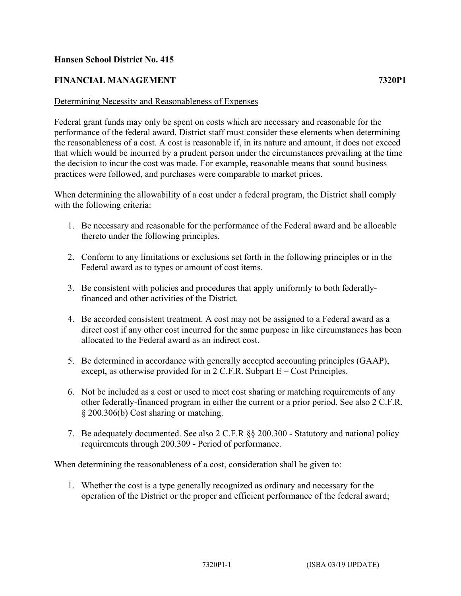## **Hansen School District No. 415**

## **FINANCIAL MANAGEMENT 7320P1**

## Determining Necessity and Reasonableness of Expenses

Federal grant funds may only be spent on costs which are necessary and reasonable for the performance of the federal award. District staff must consider these elements when determining the reasonableness of a cost. A cost is reasonable if, in its nature and amount, it does not exceed that which would be incurred by a prudent person under the circumstances prevailing at the time the decision to incur the cost was made. For example, reasonable means that sound business practices were followed, and purchases were comparable to market prices.

When determining the allowability of a cost under a federal program, the District shall comply with the following criteria:

- 1. Be necessary and reasonable for the performance of the Federal award and be allocable thereto under the following principles.
- 2. Conform to any limitations or exclusions set forth in the following principles or in the Federal award as to types or amount of cost items.
- 3. Be consistent with policies and procedures that apply uniformly to both federallyfinanced and other activities of the District.
- 4. Be accorded consistent treatment. A cost may not be assigned to a Federal award as a direct cost if any other cost incurred for the same purpose in like circumstances has been allocated to the Federal award as an indirect cost.
- 5. Be determined in accordance with generally accepted accounting principles (GAAP), except, as otherwise provided for in 2 C.F.R. Subpart E – Cost Principles.
- 6. Not be included as a cost or used to meet cost sharing or matching requirements of any other federally-financed program in either the current or a prior period. See also 2 C.F.R. § 200.306(b) Cost sharing or matching.
- 7. Be adequately documented. See also 2 C.F.R §§ 200.300 Statutory and national policy requirements through 200.309 - Period of performance.

When determining the reasonableness of a cost, consideration shall be given to:

1. Whether the cost is a type generally recognized as ordinary and necessary for the operation of the District or the proper and efficient performance of the federal award;